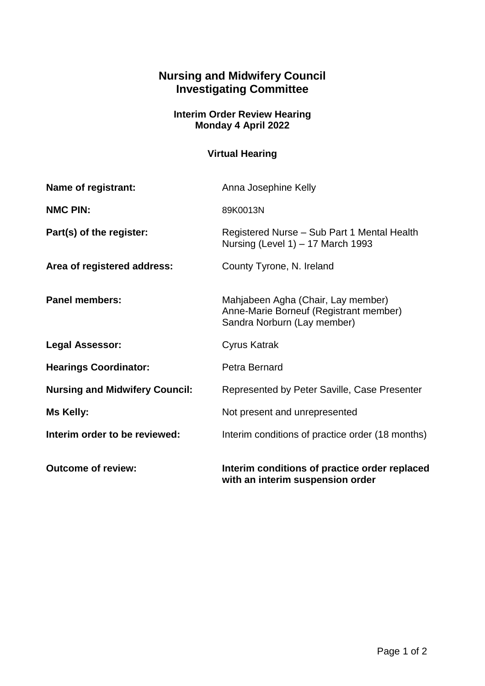## **Nursing and Midwifery Council Investigating Committee**

## **Interim Order Review Hearing Monday 4 April 2022**

## **Virtual Hearing**

| <b>Outcome of review:</b>             | Interim conditions of practice order replaced<br>with an interim suspension order                           |
|---------------------------------------|-------------------------------------------------------------------------------------------------------------|
| Interim order to be reviewed:         | Interim conditions of practice order (18 months)                                                            |
| Ms Kelly:                             | Not present and unrepresented                                                                               |
| <b>Nursing and Midwifery Council:</b> | Represented by Peter Saville, Case Presenter                                                                |
| <b>Hearings Coordinator:</b>          | Petra Bernard                                                                                               |
| <b>Legal Assessor:</b>                | Cyrus Katrak                                                                                                |
| <b>Panel members:</b>                 | Mahjabeen Agha (Chair, Lay member)<br>Anne-Marie Borneuf (Registrant member)<br>Sandra Norburn (Lay member) |
| Area of registered address:           | County Tyrone, N. Ireland                                                                                   |
| Part(s) of the register:              | Registered Nurse - Sub Part 1 Mental Health<br>Nursing (Level 1) $-$ 17 March 1993                          |
| <b>NMC PIN:</b>                       | 89K0013N                                                                                                    |
| Name of registrant:                   | Anna Josephine Kelly                                                                                        |